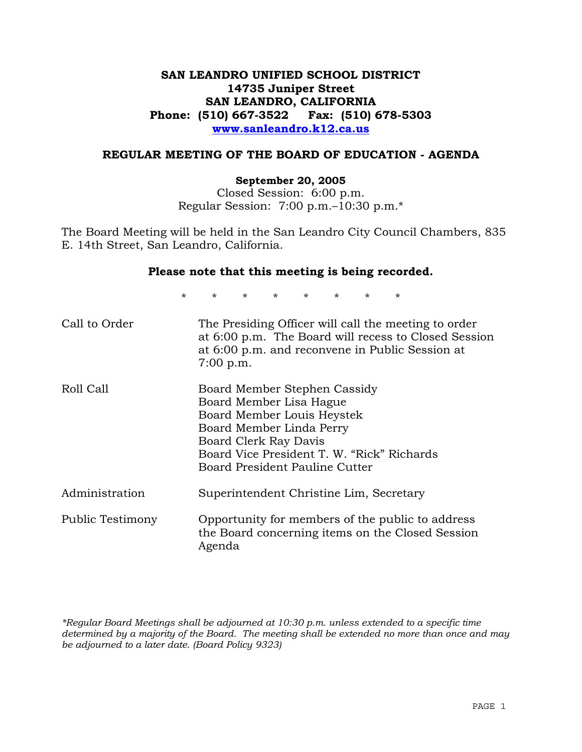# **SAN LEANDRO UNIFIED SCHOOL DISTRICT 14735 Juniper Street SAN LEANDRO, CALIFORNIA Phone: (510) 667-3522 Fax: (510) 678-5303 www.sanleandro.k12.ca.us**

# **REGULAR MEETING OF THE BOARD OF EDUCATION - AGENDA**

### **September 20, 2005**

Closed Session: 6:00 p.m. Regular Session: 7:00 p.m.–10:30 p.m.\*

The Board Meeting will be held in the San Leandro City Council Chambers, 835 E. 14th Street, San Leandro, California.

### **Please note that this meeting is being recorded.**

\* \* \* \* \* \* \* \* Call to Order The Presiding Officer will call the meeting to order at 6:00 p.m. The Board will recess to Closed Session at 6:00 p.m. and reconvene in Public Session at 7:00 p.m. Roll Call Board Member Stephen Cassidy Board Member Lisa Hague Board Member Louis Heystek Board Member Linda Perry Board Clerk Ray Davis Board Vice President T. W. "Rick" Richards Board President Pauline Cutter Administration Superintendent Christine Lim, Secretary Public Testimony Opportunity for members of the public to address the Board concerning items on the Closed Session Agenda

*\*Regular Board Meetings shall be adjourned at 10:30 p.m. unless extended to a specific time determined by a majority of the Board. The meeting shall be extended no more than once and may be adjourned to a later date. (Board Policy 9323)*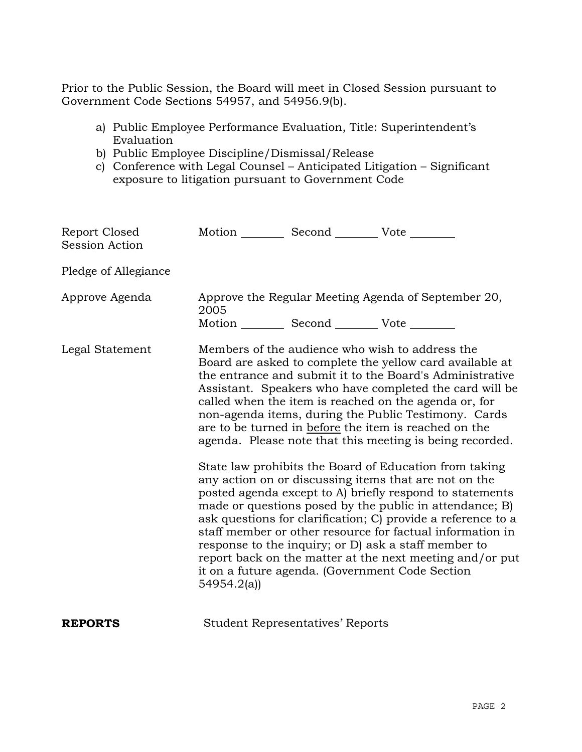Prior to the Public Session, the Board will meet in Closed Session pursuant to Government Code Sections 54957, and 54956.9(b).

- a) Public Employee Performance Evaluation, Title: Superintendent's Evaluation
- b) Public Employee Discipline/Dismissal/Release
- c) Conference with Legal Counsel Anticipated Litigation Significant exposure to litigation pursuant to Government Code

| Report Closed<br>Session Action | Motion __________ Second __________ Vote ________ |                                                   |                                                                                                                                                                                                                                                                                                                                                                                                                                                                                                                                                                                                                                                                                                                                                                                                                                                                                                                                                                                                                        |
|---------------------------------|---------------------------------------------------|---------------------------------------------------|------------------------------------------------------------------------------------------------------------------------------------------------------------------------------------------------------------------------------------------------------------------------------------------------------------------------------------------------------------------------------------------------------------------------------------------------------------------------------------------------------------------------------------------------------------------------------------------------------------------------------------------------------------------------------------------------------------------------------------------------------------------------------------------------------------------------------------------------------------------------------------------------------------------------------------------------------------------------------------------------------------------------|
| Pledge of Allegiance            |                                                   |                                                   |                                                                                                                                                                                                                                                                                                                                                                                                                                                                                                                                                                                                                                                                                                                                                                                                                                                                                                                                                                                                                        |
| Approve Agenda                  | 2005                                              | Motion __________ Second __________ Vote ________ | Approve the Regular Meeting Agenda of September 20,                                                                                                                                                                                                                                                                                                                                                                                                                                                                                                                                                                                                                                                                                                                                                                                                                                                                                                                                                                    |
| Legal Statement                 | 54954.2(a)                                        |                                                   | Members of the audience who wish to address the<br>Board are asked to complete the yellow card available at<br>the entrance and submit it to the Board's Administrative<br>Assistant. Speakers who have completed the card will be<br>called when the item is reached on the agenda or, for<br>non-agenda items, during the Public Testimony. Cards<br>are to be turned in before the item is reached on the<br>agenda. Please note that this meeting is being recorded.<br>State law prohibits the Board of Education from taking<br>any action on or discussing items that are not on the<br>posted agenda except to A) briefly respond to statements<br>made or questions posed by the public in attendance; B)<br>ask questions for clarification; C) provide a reference to a<br>staff member or other resource for factual information in<br>response to the inquiry; or D) ask a staff member to<br>report back on the matter at the next meeting and/or put<br>it on a future agenda. (Government Code Section |
| <b>REPORTS</b>                  |                                                   | <b>Student Representatives' Reports</b>           |                                                                                                                                                                                                                                                                                                                                                                                                                                                                                                                                                                                                                                                                                                                                                                                                                                                                                                                                                                                                                        |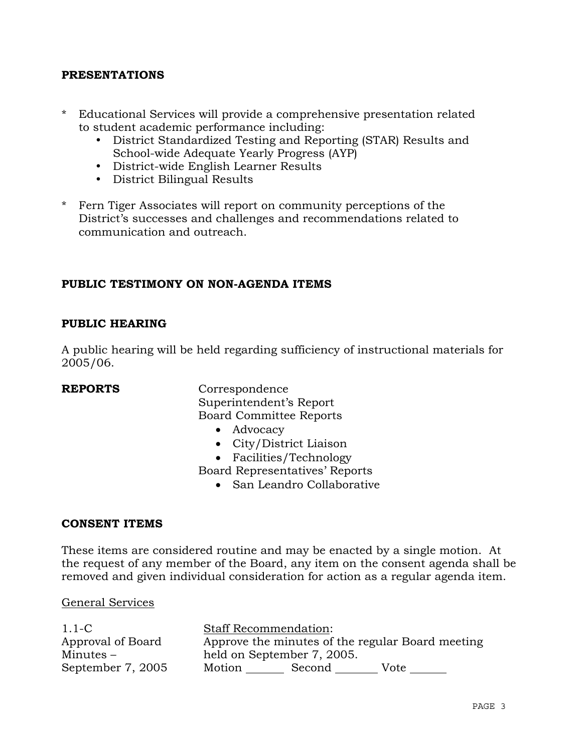# **PRESENTATIONS**

- \* Educational Services will provide a comprehensive presentation related to student academic performance including:
	- District Standardized Testing and Reporting (STAR) Results and School-wide Adequate Yearly Progress (AYP)
	- District-wide English Learner Results
	- District Bilingual Results
- \* Fern Tiger Associates will report on community perceptions of the District's successes and challenges and recommendations related to communication and outreach.

# **PUBLIC TESTIMONY ON NON-AGENDA ITEMS**

## **PUBLIC HEARING**

A public hearing will be held regarding sufficiency of instructional materials for 2005/06.

**REPORTS** Correspondence Superintendent's Report Board Committee Reports

- Advocacy
- City/District Liaison
- Facilities/Technology

Board Representatives' Reports

• San Leandro Collaborative

## **CONSENT ITEMS**

These items are considered routine and may be enacted by a single motion. At the request of any member of the Board, any item on the consent agenda shall be removed and given individual consideration for action as a regular agenda item.

### General Services

| $1.1-C$           | <b>Staff Recommendation:</b> |        |                                                  |
|-------------------|------------------------------|--------|--------------------------------------------------|
| Approval of Board |                              |        | Approve the minutes of the regular Board meeting |
| Minutes $-$       | held on September 7, 2005.   |        |                                                  |
| September 7, 2005 | Motion                       | Second | Vote                                             |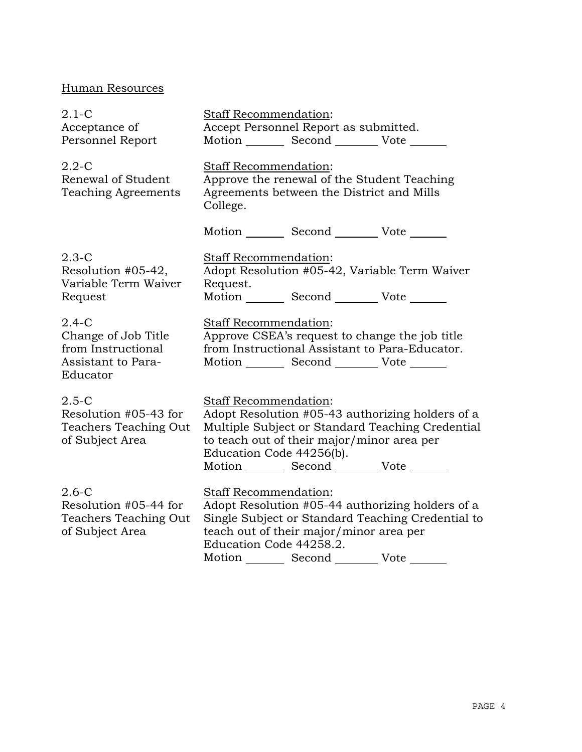# Human Resources

| $2.1-C$<br>Acceptance of<br>Personnel Report                                           | <b>Staff Recommendation:</b><br>Accept Personnel Report as submitted.<br>Motion _________ Second __________ Vote _______                                                                                                                                      |
|----------------------------------------------------------------------------------------|---------------------------------------------------------------------------------------------------------------------------------------------------------------------------------------------------------------------------------------------------------------|
| $2.2 - C$<br>Renewal of Student<br><b>Teaching Agreements</b>                          | Staff Recommendation:<br>Approve the renewal of the Student Teaching<br>Agreements between the District and Mills<br>College.                                                                                                                                 |
|                                                                                        | Motion Second Vote                                                                                                                                                                                                                                            |
| $2.3-C$<br>Resolution #05-42,<br>Variable Term Waiver<br>Request                       | <b>Staff Recommendation:</b><br>Adopt Resolution #05-42, Variable Term Waiver<br>Request.<br>Motion Second Vote                                                                                                                                               |
| $2.4-C$<br>Change of Job Title<br>from Instructional<br>Assistant to Para-<br>Educator | Staff Recommendation:<br>Approve CSEA's request to change the job title<br>from Instructional Assistant to Para-Educator.<br>Motion Second Vote                                                                                                               |
| $2.5-C$<br>Resolution #05-43 for<br>Teachers Teaching Out<br>of Subject Area           | Staff Recommendation:<br>Adopt Resolution #05-43 authorizing holders of a<br>Multiple Subject or Standard Teaching Credential<br>to teach out of their major/minor area per<br>Education Code 44256(b).<br>Motion Second Vote                                 |
| $2.6-C$<br>Resolution #05-44 for<br>Teachers Teaching Out<br>of Subject Area           | <b>Staff Recommendation:</b><br>Adopt Resolution #05-44 authorizing holders of a<br>Single Subject or Standard Teaching Credential to<br>teach out of their major/minor area per<br>Education Code 44258.2.<br>Motion _________ Second _________ Vote _______ |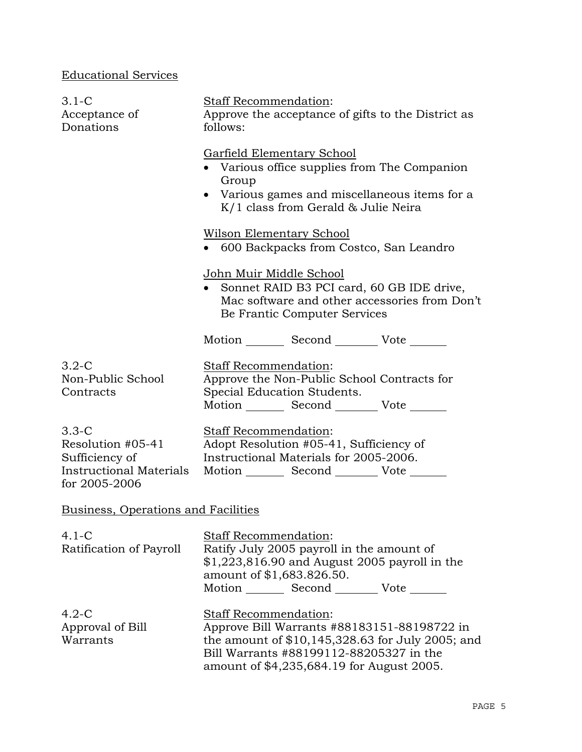# Educational Services

| $3.1-C$<br>Acceptance of<br>Donations                                                             | Staff Recommendation:<br>Approve the acceptance of gifts to the District as<br>follows:                                                                                                                                  |  |
|---------------------------------------------------------------------------------------------------|--------------------------------------------------------------------------------------------------------------------------------------------------------------------------------------------------------------------------|--|
|                                                                                                   | <b>Garfield Elementary School</b><br>• Various office supplies from The Companion<br>Group<br>• Various games and miscellaneous items for a<br>$K/1$ class from Gerald & Julie Neira                                     |  |
|                                                                                                   | <b>Wilson Elementary School</b><br>• 600 Backpacks from Costco, San Leandro                                                                                                                                              |  |
|                                                                                                   | <u> John Muir Middle School</u><br>• Sonnet RAID B3 PCI card, 60 GB IDE drive,<br>Mac software and other accessories from Don't<br>Be Frantic Computer Services                                                          |  |
|                                                                                                   | Motion Second Vote                                                                                                                                                                                                       |  |
| $3.2-C$<br>Non-Public School<br>Contracts                                                         | Staff Recommendation:<br>Approve the Non-Public School Contracts for<br>Special Education Students.<br>Motion _________ Second __________ Vote _______                                                                   |  |
| $3.3-C$<br>Resolution #05-41<br>Sufficiency of<br><b>Instructional Materials</b><br>for 2005-2006 | Staff Recommendation:<br>Adopt Resolution #05-41, Sufficiency of<br>Instructional Materials for 2005-2006.<br>Motion _________ Second __________ Vote ______                                                             |  |
| <b>Business, Operations and Facilities</b>                                                        |                                                                                                                                                                                                                          |  |
| $4.1 - C$<br>Ratification of Payroll                                                              | <b>Staff Recommendation:</b><br>Ratify July 2005 payroll in the amount of<br>$$1,223,816.90$ and August 2005 payroll in the<br>amount of \$1,683.826.50.<br>Motion _________ Second __________ Vote _______              |  |
| $4.2 - C$<br>Approval of Bill<br>Warrants                                                         | <b>Staff Recommendation:</b><br>Approve Bill Warrants #88183151-88198722 in<br>the amount of $$10,145,328.63$ for July 2005; and<br>Bill Warrants #88199112-88205327 in the<br>amount of \$4,235,684.19 for August 2005. |  |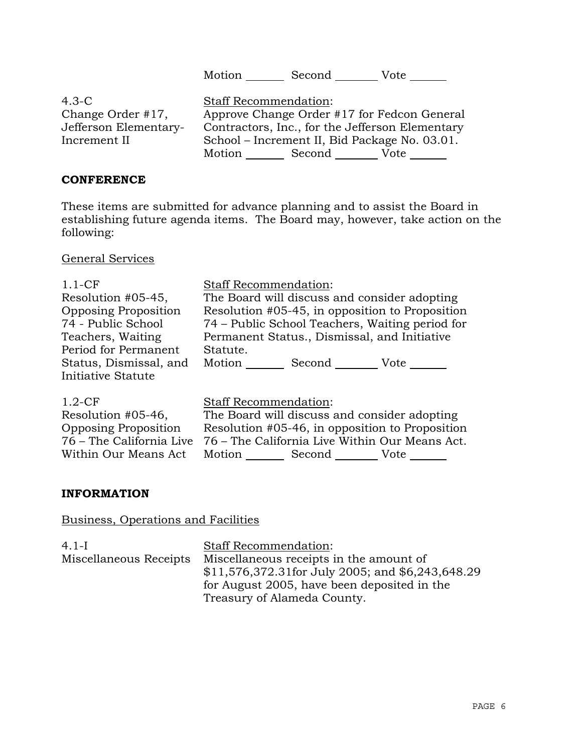Motion Second Vote \_\_\_\_\_\_

| $4.3-C$               | <b>Staff Recommendation:</b>                    |
|-----------------------|-------------------------------------------------|
| Change Order #17,     | Approve Change Order #17 for Fedcon General     |
| Jefferson Elementary- | Contractors, Inc., for the Jefferson Elementary |
| Increment II          | School – Increment II, Bid Package No. 03.01.   |
|                       | Motion<br>Second<br>Vote                        |

# **CONFERENCE**

These items are submitted for advance planning and to assist the Board in establishing future agenda items. The Board may, however, take action on the following:

General Services

| $1.1-CF$                    | <b>Staff Recommendation:</b>                    |
|-----------------------------|-------------------------------------------------|
| Resolution #05-45,          | The Board will discuss and consider adopting    |
| <b>Opposing Proposition</b> | Resolution #05-45, in opposition to Proposition |
| 74 - Public School          | 74 – Public School Teachers, Waiting period for |
| Teachers, Waiting           | Permanent Status., Dismissal, and Initiative    |
| Period for Permanent        | Statute.                                        |
| Status, Dismissal, and      | Motion<br>Second<br>Vote                        |
| Initiative Statute          |                                                 |
| $1.2-CF$                    | <b>Staff Recommendation:</b>                    |

| Resolution #05-46,          | The Board will discuss and consider adopting                            |
|-----------------------------|-------------------------------------------------------------------------|
| <b>Opposing Proposition</b> | Resolution #05-46, in opposition to Proposition                         |
|                             | 76 – The California Live 76 – The California Live Within Our Means Act. |
| Within Our Means Act        | Motion<br>Second<br>Vote                                                |

# **INFORMATION**

# Business, Operations and Facilities

| $4.1 - I$              | <b>Staff Recommendation:</b>                     |
|------------------------|--------------------------------------------------|
| Miscellaneous Receipts | Miscellaneous receipts in the amount of          |
|                        | \$11,576,372.31for July 2005; and \$6,243,648.29 |
|                        | for August 2005, have been deposited in the      |
|                        | Treasury of Alameda County.                      |